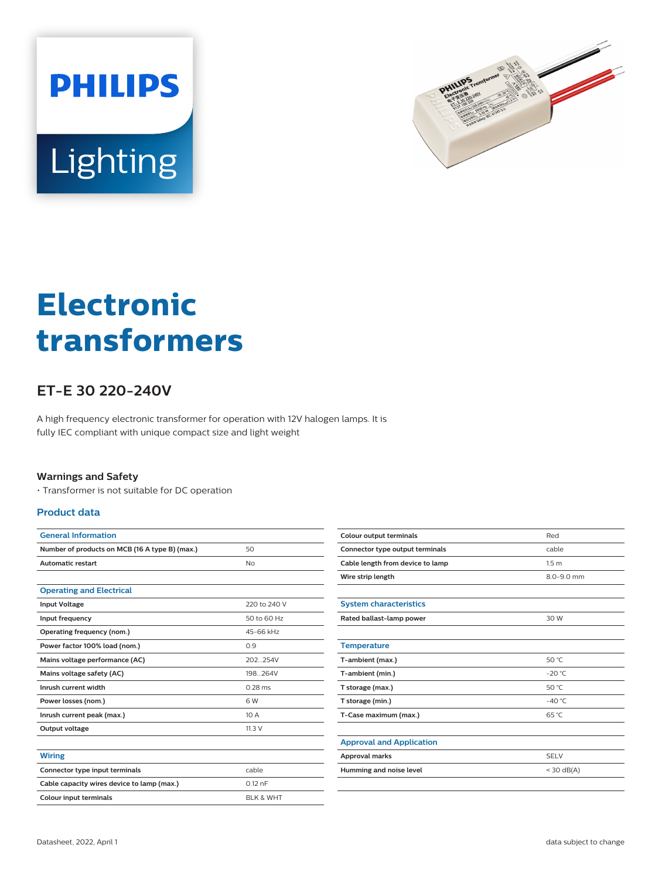



# **Electronic transformers**

## **ET-E 30 220-240V**

A high frequency electronic transformer for operation with 12V halogen lamps. It is fully IEC compliant with unique compact size and light weight

#### **Warnings and Safety**

• Transformer is not suitable for DC operation

#### **Product data**

| <b>General Information</b>                     |                      |
|------------------------------------------------|----------------------|
| Number of products on MCB (16 A type B) (max.) | 50                   |
| <b>Automatic restart</b>                       | No                   |
|                                                |                      |
| <b>Operating and Electrical</b>                |                      |
| <b>Input Voltage</b>                           | 220 to 240 V         |
| Input frequency                                | 50 to 60 Hz          |
| Operating frequency (nom.)                     | 45-66 kHz            |
| Power factor 100% load (nom.)                  | 0.9                  |
| Mains voltage performance (AC)                 | 202 254V             |
| Mains voltage safety (AC)                      | 198 264V             |
| Inrush current width                           | $0.28$ ms            |
| Power losses (nom.)                            | 6W                   |
| Inrush current peak (max.)                     | 10A                  |
| Output voltage                                 | 11.3V                |
|                                                |                      |
| <b>Wiring</b>                                  |                      |
| Connector type input terminals                 | cable                |
| Cable capacity wires device to lamp (max.)     | $0.12$ nF            |
| <b>Colour input terminals</b>                  | <b>BLK &amp; WHT</b> |

| <b>Colour output terminals</b>   | Red              |
|----------------------------------|------------------|
| Connector type output terminals  | cable            |
| Cable length from device to lamp | 1.5 <sub>m</sub> |
| Wire strip length                | 8.0-9.0 mm       |
|                                  |                  |
| <b>System characteristics</b>    |                  |
| Rated ballast-lamp power         | 30 W             |
|                                  |                  |
| <b>Temperature</b>               |                  |
| T-ambient (max.)                 | 50 °C            |
| T-ambient (min.)                 | $-20 °C$         |
| T storage (max.)                 | 50 °C            |
| T storage (min.)                 | $-40^{\circ}$ C  |
| T-Case maximum (max.)            | $65^{\circ}$ C   |
|                                  |                  |
| <b>Approval and Application</b>  |                  |
| Approval marks                   | <b>SELV</b>      |
| Humming and noise level          | $<$ 30 dB(A)     |
|                                  |                  |
|                                  |                  |